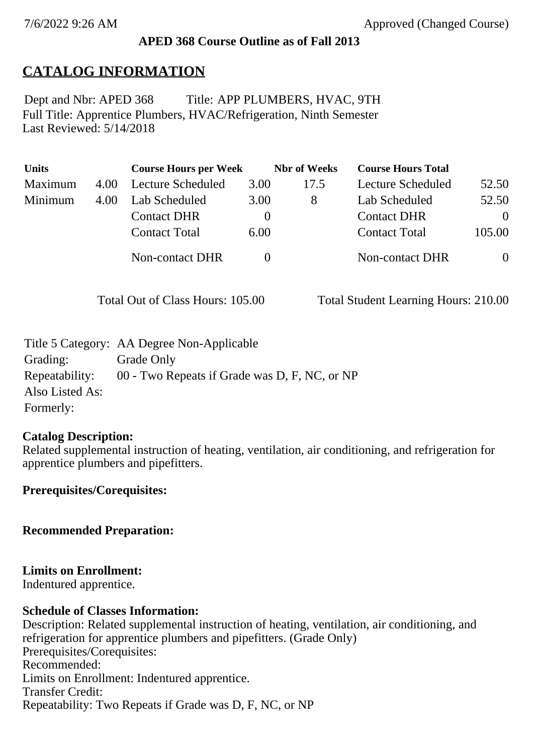#### **APED 368 Course Outline as of Fall 2013**

## **CATALOG INFORMATION**

Full Title: Apprentice Plumbers, HVAC/Refrigeration, Ninth Semester Last Reviewed: 5/14/2018 Dept and Nbr: APED 368 Title: APP PLUMBERS, HVAC, 9TH

| <b>Units</b> |      | <b>Course Hours per Week</b> |          | <b>Nbr</b> of Weeks | <b>Course Hours Total</b> |          |
|--------------|------|------------------------------|----------|---------------------|---------------------------|----------|
| Maximum      | 4.00 | Lecture Scheduled            | 3.00     | 17.5                | Lecture Scheduled         | 52.50    |
| Minimum      | 4.00 | Lab Scheduled                | 3.00     | 8                   | Lab Scheduled             | 52.50    |
|              |      | <b>Contact DHR</b>           | $\theta$ |                     | <b>Contact DHR</b>        | $\Omega$ |
|              |      | <b>Contact Total</b>         | 6.00     |                     | <b>Contact Total</b>      | 105.00   |
|              |      | Non-contact DHR              |          |                     | <b>Non-contact DHR</b>    | $\theta$ |

Total Out of Class Hours: 105.00 Total Student Learning Hours: 210.00

|                 | Title 5 Category: AA Degree Non-Applicable    |
|-----------------|-----------------------------------------------|
| Grading:        | Grade Only                                    |
| Repeatability:  | 00 - Two Repeats if Grade was D, F, NC, or NP |
| Also Listed As: |                                               |
| Formerly:       |                                               |

#### **Catalog Description:**

Related supplemental instruction of heating, ventilation, air conditioning, and refrigeration for apprentice plumbers and pipefitters.

**Prerequisites/Corequisites:**

**Recommended Preparation:**

#### **Limits on Enrollment:**

Indentured apprentice.

#### **Schedule of Classes Information:**

Description: Related supplemental instruction of heating, ventilation, air conditioning, and refrigeration for apprentice plumbers and pipefitters. (Grade Only) Prerequisites/Corequisites: Recommended: Limits on Enrollment: Indentured apprentice. Transfer Credit: Repeatability: Two Repeats if Grade was D, F, NC, or NP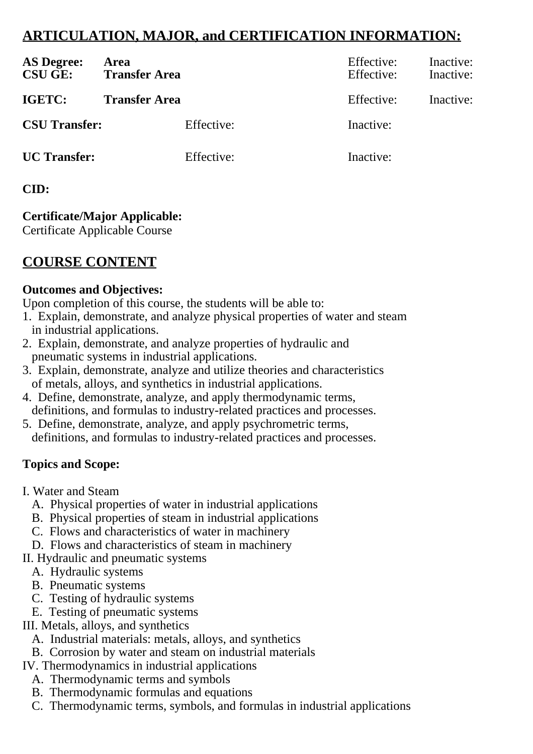# **ARTICULATION, MAJOR, and CERTIFICATION INFORMATION:**

| <b>AS Degree:</b><br><b>CSU GE:</b> | Area<br><b>Transfer Area</b> | Effective:<br>Effective: | Inactive:<br>Inactive: |
|-------------------------------------|------------------------------|--------------------------|------------------------|
| IGETC:                              | <b>Transfer Area</b>         | Effective:               | Inactive:              |
| <b>CSU Transfer:</b>                | Effective:                   | Inactive:                |                        |
| <b>UC</b> Transfer:                 | Effective:                   | Inactive:                |                        |

## **CID:**

## **Certificate/Major Applicable:**

[Certificate Applicable Course](SR_ClassCheck.aspx?CourseKey=APED368)

# **COURSE CONTENT**

### **Outcomes and Objectives:**

Upon completion of this course, the students will be able to:

- 1. Explain, demonstrate, and analyze physical properties of water and steam in industrial applications.
- 2. Explain, demonstrate, and analyze properties of hydraulic and pneumatic systems in industrial applications.
- 3. Explain, demonstrate, analyze and utilize theories and characteristics of metals, alloys, and synthetics in industrial applications.
- 4. Define, demonstrate, analyze, and apply thermodynamic terms, definitions, and formulas to industry-related practices and processes.
- 5. Define, demonstrate, analyze, and apply psychrometric terms, definitions, and formulas to industry-related practices and processes.

## **Topics and Scope:**

- I. Water and Steam
	- A. Physical properties of water in industrial applications
	- B. Physical properties of steam in industrial applications
	- C. Flows and characteristics of water in machinery
	- D. Flows and characteristics of steam in machinery
- II. Hydraulic and pneumatic systems
	- A. Hydraulic systems
	- B. Pneumatic systems
	- C. Testing of hydraulic systems
	- E. Testing of pneumatic systems
- III. Metals, alloys, and synthetics
	- A. Industrial materials: metals, alloys, and synthetics
	- B. Corrosion by water and steam on industrial materials
- IV. Thermodynamics in industrial applications
	- A. Thermodynamic terms and symbols
	- B. Thermodynamic formulas and equations
	- C. Thermodynamic terms, symbols, and formulas in industrial applications